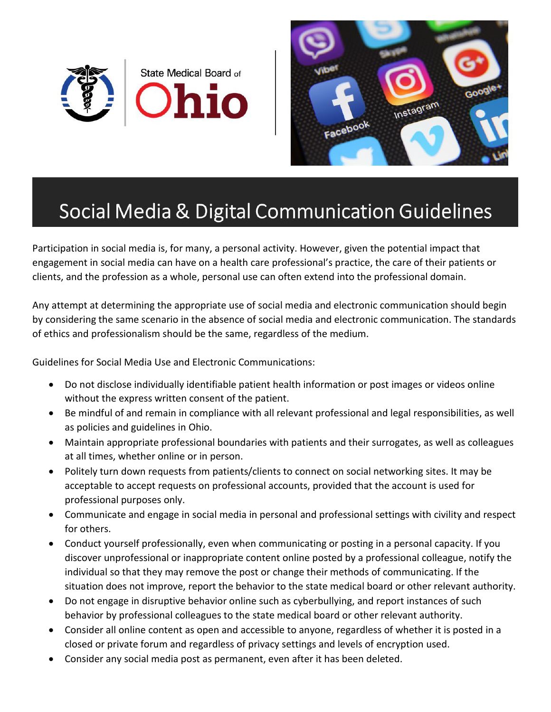



## Social Media & Digital Communication Guidelines

Participation in social media is, for many, a personal activity. However, given the potential impact that engagement in social media can have on a health care professional's practice, the care of their patients or clients, and the profession as a whole, personal use can often extend into the professional domain.

Any attempt at determining the appropriate use of social media and electronic communication should begin by considering the same scenario in the absence of social media and electronic communication. The standards of ethics and professionalism should be the same, regardless of the medium.

Guidelines for Social Media Use and Electronic Communications:

- Do not disclose individually identifiable patient health information or post images or videos online without the express written consent of the patient.
- Be mindful of and remain in compliance with all relevant professional and legal responsibilities, as well as policies and guidelines in Ohio.
- Maintain appropriate professional boundaries with patients and their surrogates, as well as colleagues at all times, whether online or in person.
- Politely turn down requests from patients/clients to connect on social networking sites. It may be acceptable to accept requests on professional accounts, provided that the account is used for professional purposes only.
- Communicate and engage in social media in personal and professional settings with civility and respect for others.
- Conduct yourself professionally, even when communicating or posting in a personal capacity. If you discover unprofessional or inappropriate content online posted by a professional colleague, notify the individual so that they may remove the post or change their methods of communicating. If the situation does not improve, report the behavior to the state medical board or other relevant authority.
- Do not engage in disruptive behavior online such as cyberbullying, and report instances of such behavior by professional colleagues to the state medical board or other relevant authority.
- Consider all online content as open and accessible to anyone, regardless of whether it is posted in a closed or private forum and regardless of privacy settings and levels of encryption used.
- Consider any social media post as permanent, even after it has been deleted.